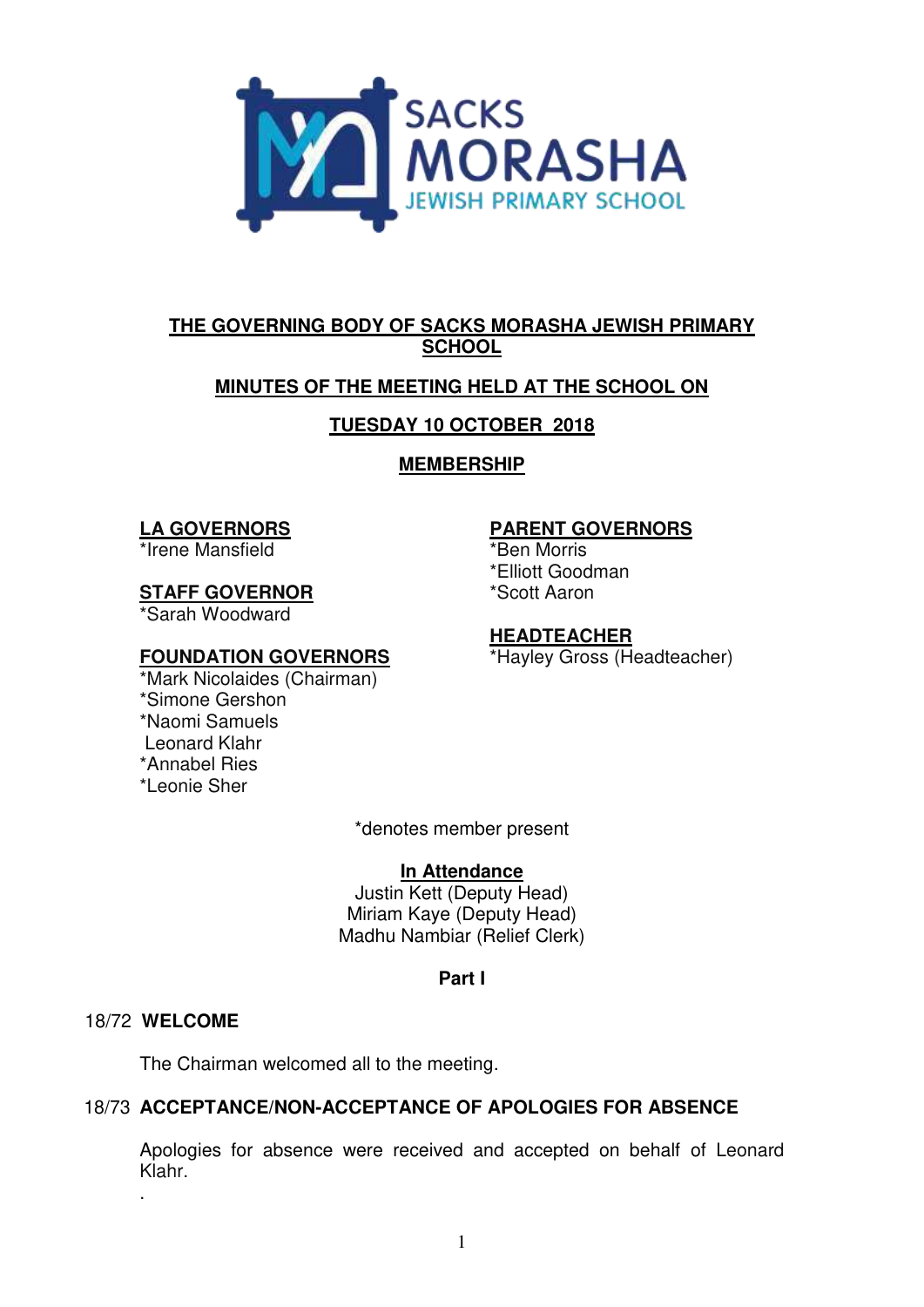

# **THE GOVERNING BODY OF SACKS MORASHA JEWISH PRIMARY SCHOOL**

# **MINUTES OF THE MEETING HELD AT THE SCHOOL ON**

# **TUESDAY 10 OCTOBER 2018**

## **MEMBERSHIP**

## **LA GOVERNORS**

\*Irene Mansfield

## **STAFF GOVERNOR**

\*Sarah Woodward

## **FOUNDATION GOVERNORS**

\*Mark Nicolaides (Chairman) \*Simone Gershon \*Naomi Samuels Leonard Klahr \*Annabel Ries \*Leonie Sher

# **PARENT GOVERNORS**

\*Ben Morris

\*Elliott Goodman

\*Scott Aaron

# **HEADTEACHER**

\*Hayley Gross (Headteacher)

\*denotes member present

### **In Attendance**

Justin Kett (Deputy Head) Miriam Kaye (Deputy Head) Madhu Nambiar (Relief Clerk)

### **Part I**

### 18/72 **WELCOME**

.

The Chairman welcomed all to the meeting.

# 18/73 **ACCEPTANCE/NON-ACCEPTANCE OF APOLOGIES FOR ABSENCE**

Apologies for absence were received and accepted on behalf of Leonard Klahr.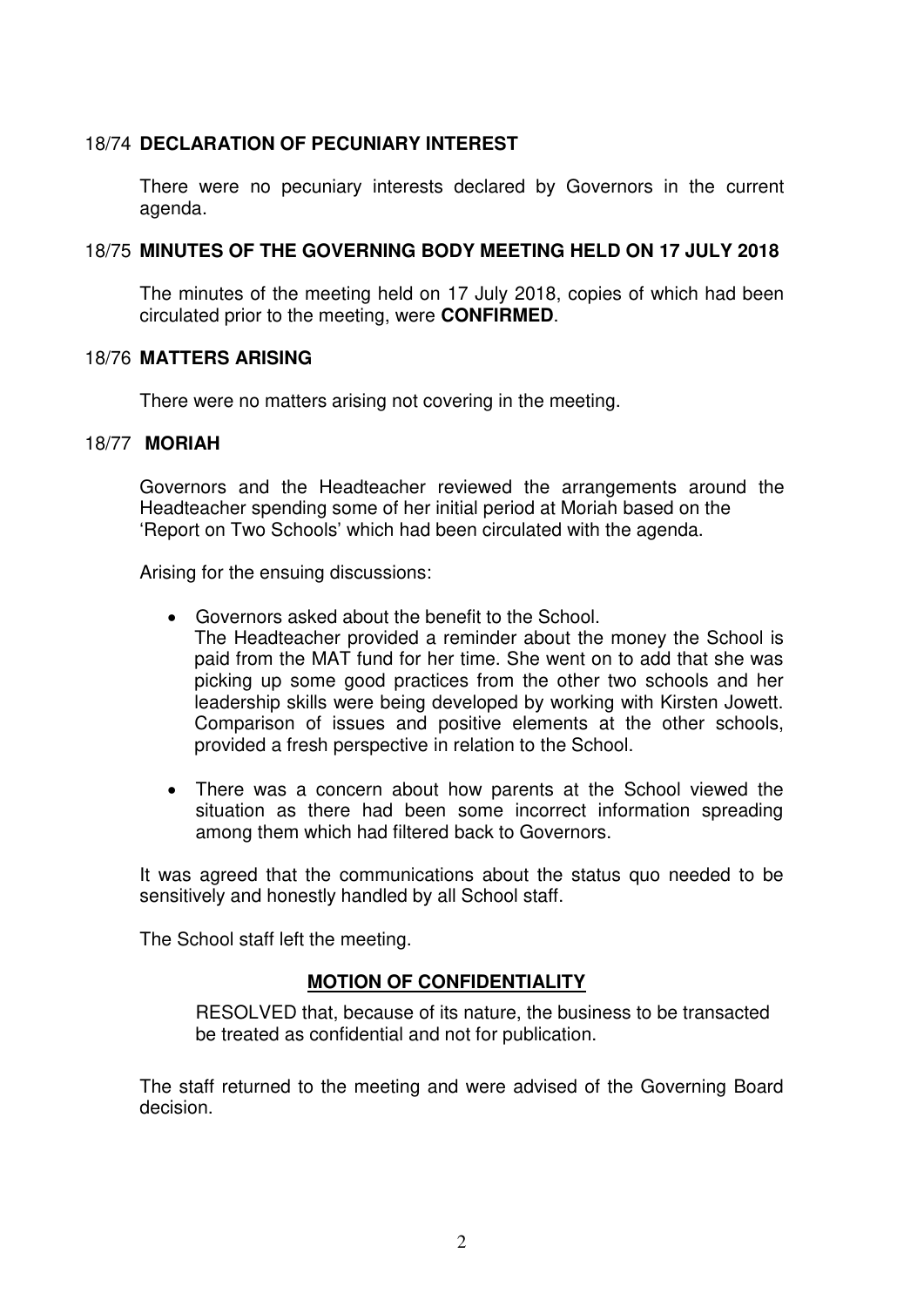#### 18/74 **DECLARATION OF PECUNIARY INTEREST**

There were no pecuniary interests declared by Governors in the current agenda.

#### 18/75 **MINUTES OF THE GOVERNING BODY MEETING HELD ON 17 JULY 2018**

The minutes of the meeting held on 17 July 2018, copies of which had been circulated prior to the meeting, were **CONFIRMED**.

#### 18/76 **MATTERS ARISING**

There were no matters arising not covering in the meeting.

#### 18/77 **MORIAH**

 Governors and the Headteacher reviewed the arrangements around the Headteacher spending some of her initial period at Moriah based on the 'Report on Two Schools' which had been circulated with the agenda.

Arising for the ensuing discussions:

- Governors asked about the benefit to the School. The Headteacher provided a reminder about the money the School is paid from the MAT fund for her time. She went on to add that she was picking up some good practices from the other two schools and her leadership skills were being developed by working with Kirsten Jowett. Comparison of issues and positive elements at the other schools, provided a fresh perspective in relation to the School.
- There was a concern about how parents at the School viewed the situation as there had been some incorrect information spreading among them which had filtered back to Governors.

It was agreed that the communications about the status quo needed to be sensitively and honestly handled by all School staff.

The School staff left the meeting.

### **MOTION OF CONFIDENTIALITY**

RESOLVED that, because of its nature, the business to be transacted be treated as confidential and not for publication.

The staff returned to the meeting and were advised of the Governing Board decision.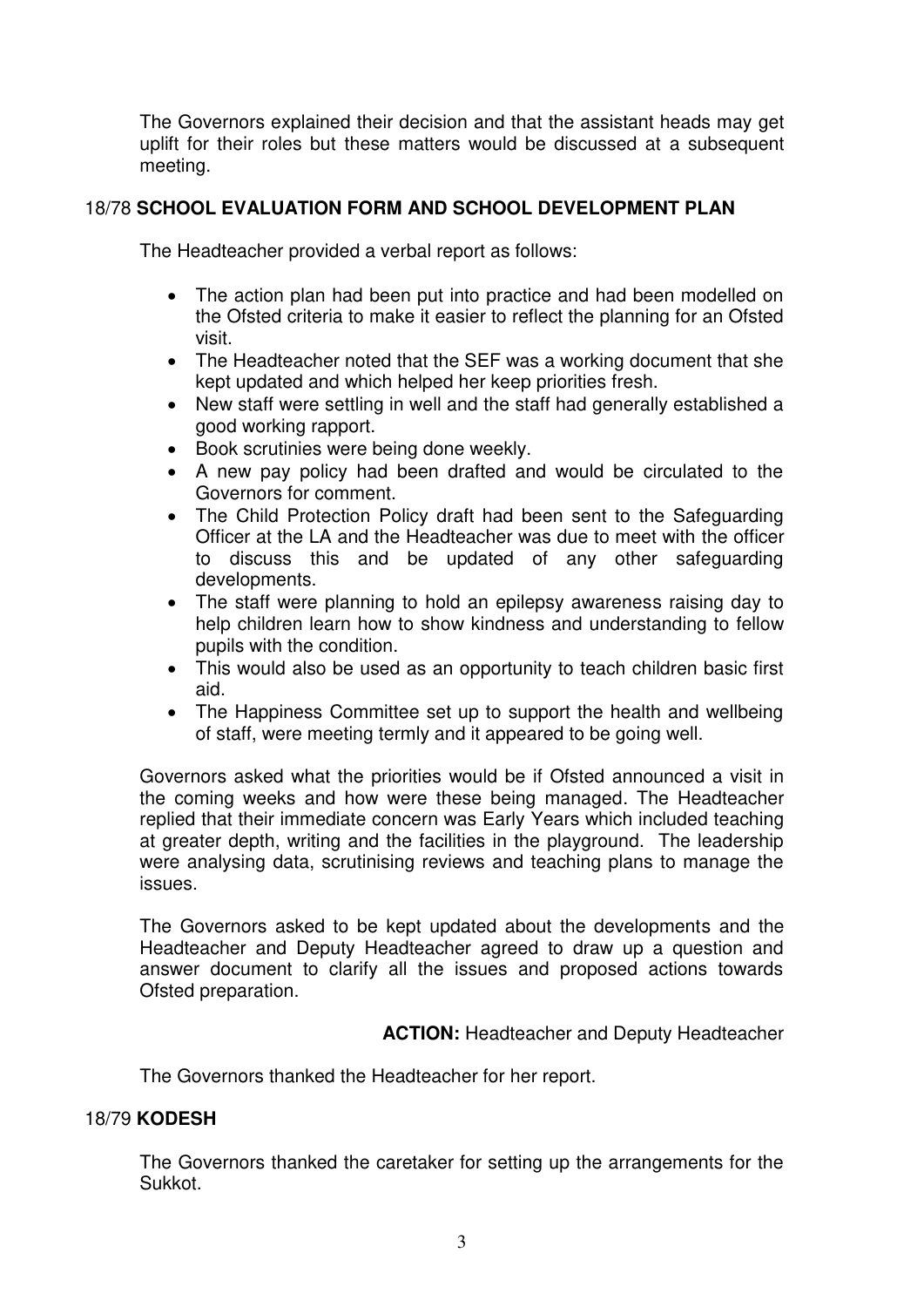The Governors explained their decision and that the assistant heads may get uplift for their roles but these matters would be discussed at a subsequent meeting.

## 18/78 **SCHOOL EVALUATION FORM AND SCHOOL DEVELOPMENT PLAN**

The Headteacher provided a verbal report as follows:

- The action plan had been put into practice and had been modelled on the Ofsted criteria to make it easier to reflect the planning for an Ofsted visit.
- The Headteacher noted that the SEF was a working document that she kept updated and which helped her keep priorities fresh.
- New staff were settling in well and the staff had generally established a good working rapport.
- Book scrutinies were being done weekly.
- A new pay policy had been drafted and would be circulated to the Governors for comment.
- The Child Protection Policy draft had been sent to the Safeguarding Officer at the LA and the Headteacher was due to meet with the officer to discuss this and be updated of any other safeguarding developments.
- The staff were planning to hold an epilepsy awareness raising day to help children learn how to show kindness and understanding to fellow pupils with the condition.
- This would also be used as an opportunity to teach children basic first aid.
- The Happiness Committee set up to support the health and wellbeing of staff, were meeting termly and it appeared to be going well.

Governors asked what the priorities would be if Ofsted announced a visit in the coming weeks and how were these being managed. The Headteacher replied that their immediate concern was Early Years which included teaching at greater depth, writing and the facilities in the playground. The leadership were analysing data, scrutinising reviews and teaching plans to manage the issues.

The Governors asked to be kept updated about the developments and the Headteacher and Deputy Headteacher agreed to draw up a question and answer document to clarify all the issues and proposed actions towards Ofsted preparation.

**ACTION:** Headteacher and Deputy Headteacher

The Governors thanked the Headteacher for her report.

## 18/79 **KODESH**

 The Governors thanked the caretaker for setting up the arrangements for the Sukkot.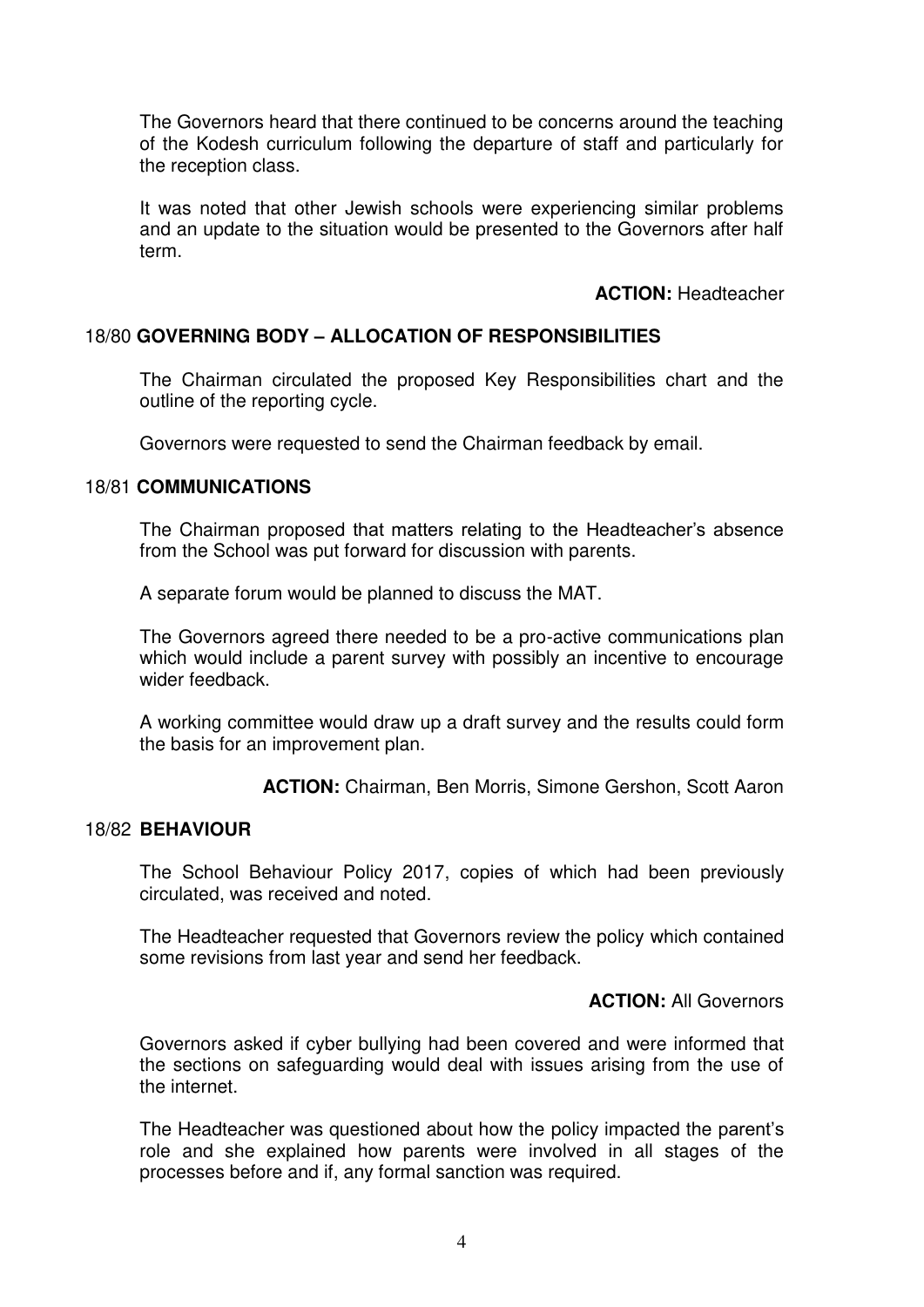The Governors heard that there continued to be concerns around the teaching of the Kodesh curriculum following the departure of staff and particularly for the reception class.

It was noted that other Jewish schools were experiencing similar problems and an update to the situation would be presented to the Governors after half term.

#### **ACTION:** Headteacher

### 18/80 **GOVERNING BODY – ALLOCATION OF RESPONSIBILITIES**

The Chairman circulated the proposed Key Responsibilities chart and the outline of the reporting cycle.

Governors were requested to send the Chairman feedback by email.

#### 18/81 **COMMUNICATIONS**

 The Chairman proposed that matters relating to the Headteacher's absence from the School was put forward for discussion with parents.

A separate forum would be planned to discuss the MAT.

 The Governors agreed there needed to be a pro-active communications plan which would include a parent survey with possibly an incentive to encourage wider feedback.

 A working committee would draw up a draft survey and the results could form the basis for an improvement plan.

**ACTION:** Chairman, Ben Morris, Simone Gershon, Scott Aaron

#### 18/82 **BEHAVIOUR**

 The School Behaviour Policy 2017, copies of which had been previously circulated, was received and noted.

The Headteacher requested that Governors review the policy which contained some revisions from last year and send her feedback.

### **ACTION:** All Governors

Governors asked if cyber bullying had been covered and were informed that the sections on safeguarding would deal with issues arising from the use of the internet.

The Headteacher was questioned about how the policy impacted the parent's role and she explained how parents were involved in all stages of the processes before and if, any formal sanction was required.